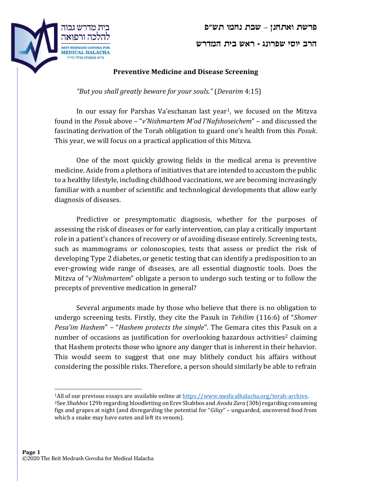



## Preventive Medicine and Disease Screening

"But you shall greatly beware for your souls." (Devarim 4:15)

In our essay for Parshas Va'eschanan last year1, we focused on the Mitzva found in the Posuk above – "v'Nishmartem M'od l'Nafshoseichem" – and discussed the fascinating derivation of the Torah obligation to guard one's health from this Posuk. This year, we will focus on a practical application of this Mitzva.

One of the most quickly growing fields in the medical arena is preventive medicine. Aside from a plethora of initiatives that are intended to accustom the public to a healthy lifestyle, including childhood vaccinations, we are becoming increasingly familiar with a number of scientific and technological developments that allow early diagnosis of diseases.

Predictive or presymptomatic diagnosis, whether for the purposes of assessing the risk of diseases or for early intervention, can play a critically important role in a patient's chances of recovery or of avoiding disease entirely. Screening tests, such as mammograms or colonoscopies, tests that assess or predict the risk of developing Type 2 diabetes, or genetic testing that can identify a predisposition to an ever-growing wide range of diseases, are all essential diagnostic tools. Does the Mitzva of "v'Nishmartem" obligate a person to undergo such testing or to follow the precepts of preventive medication in general?

Several arguments made by those who believe that there is no obligation to undergo screening tests. Firstly, they cite the Pasuk in Tehilim (116:6) of "Shomer Pesa'im Hashem" - "Hashem protects the simple". The Gemara cites this Pasuk on a number of occasions as justification for overlooking hazardous activities<sup>2</sup> claiming that Hashem protects those who ignore any danger that is inherent in their behavior. This would seem to suggest that one may blithely conduct his affairs without considering the possible risks. Therefore, a person should similarly be able to refrain

<sup>1</sup>All of our previous essays are available online at https://www.medicalhalacha.org/torah-archive. <sup>2</sup>See *Shabbos* 129b regarding bloodletting on Erev Shabbos and Avoda Zara (30b) regarding consuming figs and grapes at night (and disregarding the potential for "Giluy" – unguarded, uncovered food from which a snake may have eaten and left its venom).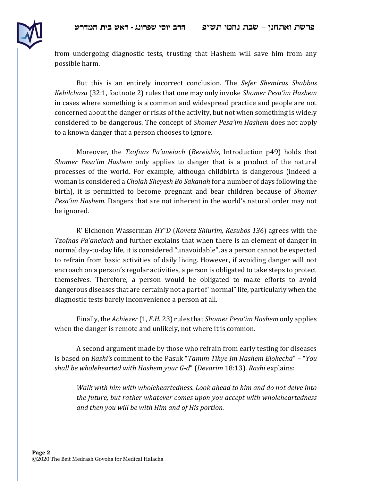

from undergoing diagnostic tests, trusting that Hashem will save him from any possible harm.

But this is an entirely incorrect conclusion. The Sefer Shemiras Shabbos Kehilchasa (32:1, footnote 2) rules that one may only invoke Shomer Pesa'im Hashem in cases where something is a common and widespread practice and people are not concerned about the danger or risks of the activity, but not when something is widely considered to be dangerous. The concept of Shomer Pesa'im Hashem does not apply to a known danger that a person chooses to ignore.

Moreover, the Tzofnas Pa'aneiach (Bereishis, Introduction p49) holds that Shomer Pesa'im Hashem only applies to danger that is a product of the natural processes of the world. For example, although childbirth is dangerous (indeed a woman is considered a Cholah Sheyesh Bo Sakanah for a number of days following the birth), it is permitted to become pregnant and bear children because of *Shomer* Pesa'im Hashem. Dangers that are not inherent in the world's natural order may not be ignored.

R' Elchonon Wasserman HY"D (Kovetz Shiurim, Kesubos 136) agrees with the Tzofnas Pa'aneiach and further explains that when there is an element of danger in normal day-to-day life, it is considered "unavoidable", as a person cannot be expected to refrain from basic activities of daily living. However, if avoiding danger will not encroach on a person's regular activities, a person is obligated to take steps to protect themselves. Therefore, a person would be obligated to make efforts to avoid dangerous diseases that are certainly not a part of "normal" life, particularly when the diagnostic tests barely inconvenience a person at all.

Finally, the Achiezer (1, E.H. 23) rules that *Shomer Pesa'im Hashem* only applies when the danger is remote and unlikely, not where it is common.

A second argument made by those who refrain from early testing for diseases is based on Rashi's comment to the Pasuk "Tamim Tihye Im Hashem Elokecha" – "You shall be wholehearted with Hashem your G-d" (Devarim 18:13). Rashi explains:

Walk with him with wholeheartedness. Look ahead to him and do not delve into the future, but rather whatever comes upon you accept with wholeheartedness and then you will be with Him and of His portion.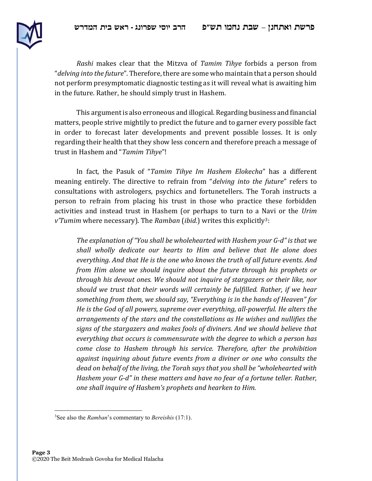

Rashi makes clear that the Mitzva of Tamim Tihye forbids a person from "delving into the future". Therefore, there are some who maintain that a person should not perform presymptomatic diagnostic testing as it will reveal what is awaiting him in the future. Rather, he should simply trust in Hashem.

This argument is also erroneous and illogical. Regarding business and financial matters, people strive mightily to predict the future and to garner every possible fact in order to forecast later developments and prevent possible losses. It is only regarding their health that they show less concern and therefore preach a message of trust in Hashem and "Tamim Tihye"!

In fact, the Pasuk of "Tamim Tihye Im Hashem Elokecha" has a different meaning entirely. The directive to refrain from "delving into the future" refers to consultations with astrologers, psychics and fortunetellers. The Torah instructs a person to refrain from placing his trust in those who practice these forbidden activities and instead trust in Hashem (or perhaps to turn to a Navi or the Urim  $v$ Tumim where necessary). The Ramban (ibid.) writes this explicitly<sup>3</sup>:

The explanation of "You shall be wholehearted with Hashem your G-d" is that we shall wholly dedicate our hearts to Him and believe that He alone does everything. And that He is the one who knows the truth of all future events. And from Him alone we should inquire about the future through his prophets or through his devout ones. We should not inquire of stargazers or their like, nor should we trust that their words will certainly be fulfilled. Rather, if we hear something from them, we should say, "Everything is in the hands of Heaven" for He is the God of all powers, supreme over everything, all-powerful. He alters the arrangements of the stars and the constellations as He wishes and nullifies the signs of the stargazers and makes fools of diviners. And we should believe that everything that occurs is commensurate with the degree to which a person has come close to Hashem through his service. Therefore, after the prohibition against inquiring about future events from a diviner or one who consults the dead on behalf of the living, the Torah says that you shall be "wholehearted with Hashem your G-d" in these matters and have no fear of a fortune teller. Rather, one shall inquire of Hashem's prophets and hearken to Him.

 $3$ See also the *Ramban*'s commentary to *Bereishis* (17:1).